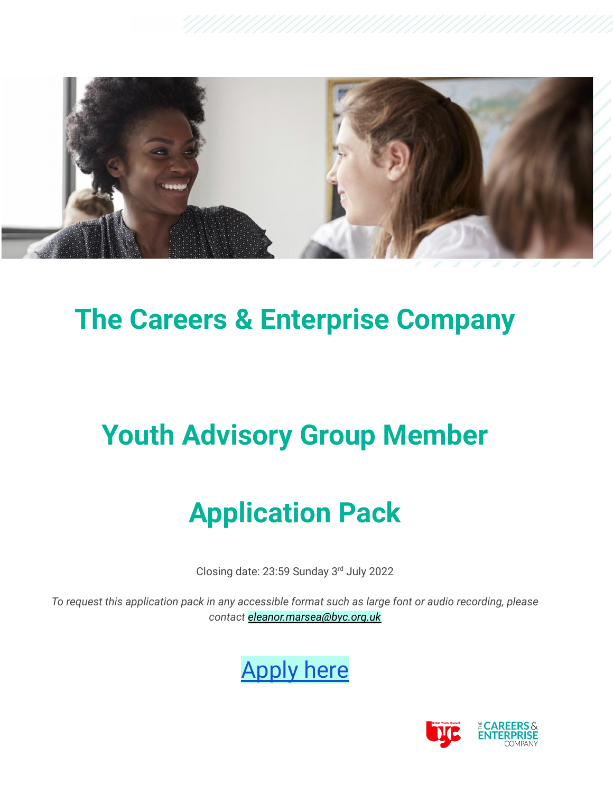

## **The Careers & Enterprise Company**

## **Youth Advisory Group Member**

# **Application Pack**

Closing date: 23:59 Sunday 3rd July 2022

*To request this application pack in any accessible format such as large font or audio recording, please contact [eleanor.marsea@byc.org.uk](mailto:eleanor.marsea@byc.org.uk)*



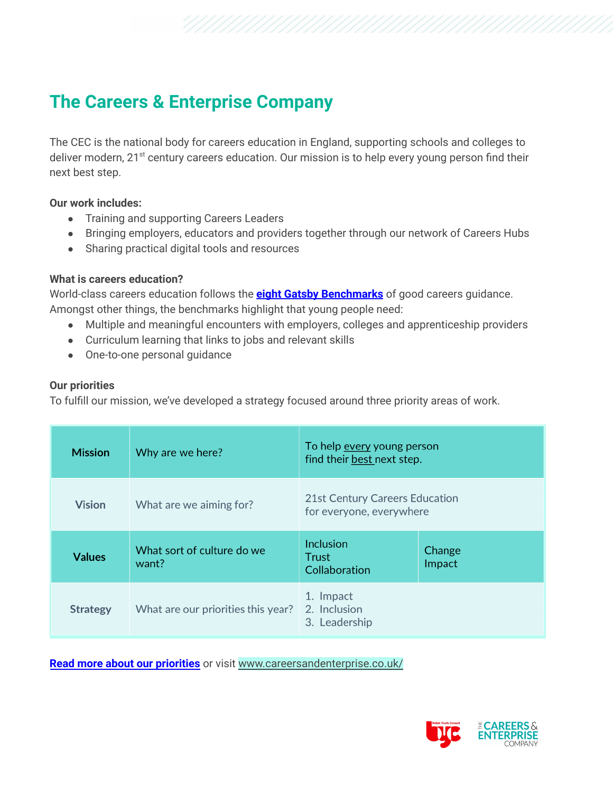## **The Careers & Enterprise Company**

The CEC is the national body for careers education in England, supporting schools and colleges to deliver modern, 21<sup>st</sup> century careers education. Our mission is to help every young person find their next best step.

#### **Our work includes:**

- Training and supporting Careers Leaders
- Bringing employers, educators and providers together through our network of Careers Hubs
- Sharing practical digital tools and resources

#### **What is careers education?**

World-class careers education follows the **eight Gatsby [Benchmarks](https://www.careersandenterprise.co.uk/careers-leaders/gatsby-benchmarks/)** of good careers guidance. Amongst other things, the benchmarks highlight that young people need:

- Multiple and meaningful encounters with employers, colleges and apprenticeship providers
- Curriculum learning that links to jobs and relevant skills
- One-to-one personal guidance

#### **Our priorities**

To fulfill our mission, we've developed a strategy focused around three priority areas of work.

| <b>Mission</b>  | Why are we here?                    | To help every young person<br>find their best next step.   |                  |
|-----------------|-------------------------------------|------------------------------------------------------------|------------------|
| <b>Vision</b>   | What are we aiming for?             | 21st Century Careers Education<br>for everyone, everywhere |                  |
| <b>Values</b>   | What sort of culture do we<br>want? | Inclusion<br><b>Trust</b><br>Collaboration                 | Change<br>Impact |
| <b>Strategy</b> | What are our priorities this year?  | 1. Impact<br>2. Inclusion<br>3. Leadership                 |                  |

**Read more about our [priorities](https://www.careersandenterprise.co.uk/media/2rapsxui/cec-priorities-21-22.pdf)** or visit [www.careersandenterprise.co.uk/](https://www.careersandenterprise.co.uk/)

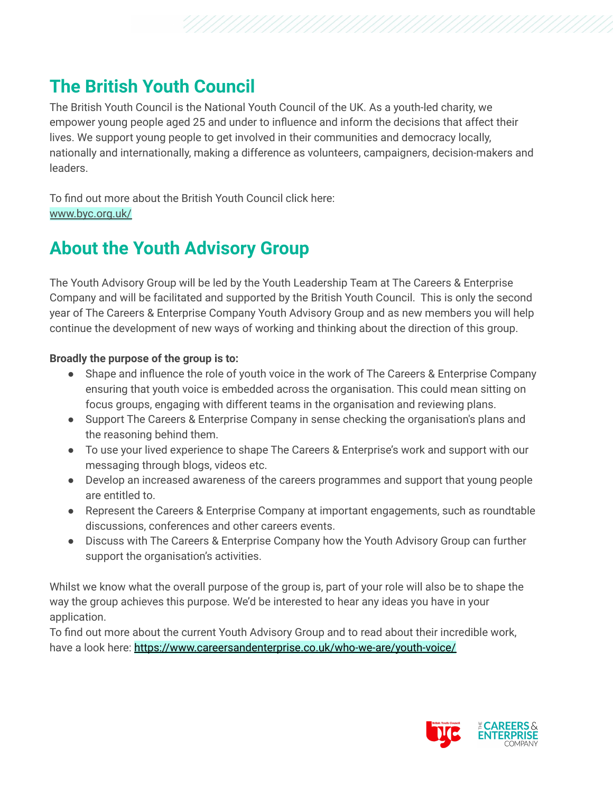## **The British Youth Council**

The British Youth Council is the National Youth Council of the UK. As a youth-led charity, we empower young people aged 25 and under to influence and inform the decisions that affect their lives. We support young people to get involved in their communities and democracy locally, nationally and internationally, making a difference as volunteers, campaigners, decision-makers and leaders.

To find out more about the British Youth Council click here: [www.byc.org.uk/](https://www.byc.org.uk/)

## **About the Youth Advisory Group**

The Youth Advisory Group will be led by the Youth Leadership Team at The Careers & Enterprise Company and will be facilitated and supported by the British Youth Council. This is only the second year of The Careers & Enterprise Company Youth Advisory Group and as new members you will help continue the development of new ways of working and thinking about the direction of this group.

#### **Broadly the purpose of the group is to:**

- Shape and influence the role of youth voice in the work of The Careers & Enterprise Company ensuring that youth voice is embedded across the organisation. This could mean sitting on focus groups, engaging with different teams in the organisation and reviewing plans.
- Support The Careers & Enterprise Company in sense checking the organisation's plans and the reasoning behind them.
- To use your lived experience to shape The Careers & Enterprise's work and support with our messaging through blogs, videos etc.
- Develop an increased awareness of the careers programmes and support that young people are entitled to.
- Represent the Careers & Enterprise Company at important engagements, such as roundtable discussions, conferences and other careers events.
- Discuss with The Careers & Enterprise Company how the Youth Advisory Group can further support the organisation's activities.

Whilst we know what the overall purpose of the group is, part of your role will also be to shape the way the group achieves this purpose. We'd be interested to hear any ideas you have in your application.

To find out more about the current Youth Advisory Group and to read about their incredible work, have a look here: <https://www.careersandenterprise.co.uk/who-we-are/youth-voice/>

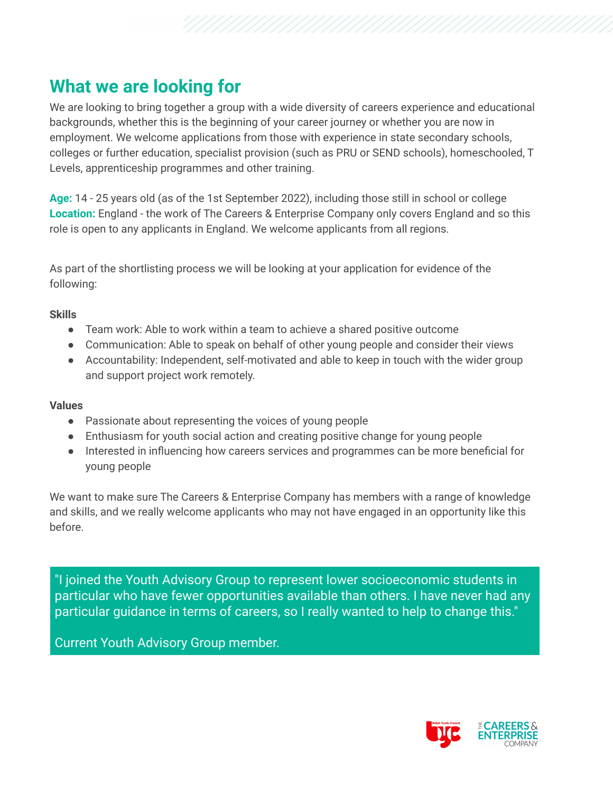### **What we are looking for**

We are looking to bring together a group with a wide diversity of careers experience and educational backgrounds, whether this is the beginning of your career journey or whether you are now in employment. We welcome applications from those with experience in state secondary schools, colleges or further education, specialist provision (such as PRU or SEND schools), homeschooled, T Levels, apprenticeship programmes and other training.

**Age:** 14 - 25 years old (as of the 1st September 2022), including those still in school or college **Location:** England - the work of The Careers & Enterprise Company only covers England and so this role is open to any applicants in England. We welcome applicants from all regions.

As part of the shortlisting process we will be looking at your application for evidence of the following:

#### **Skills**

- Team work: Able to work within a team to achieve a shared positive outcome
- Communication: Able to speak on behalf of other young people and consider their views
- Accountability: Independent, self-motivated and able to keep in touch with the wider group and support project work remotely.

#### **Values**

- Passionate about representing the voices of young people
- Enthusiasm for youth social action and creating positive change for young people
- Interested in influencing how careers services and programmes can be more beneficial for young people

We want to make sure The Careers & Enterprise Company has members with a range of knowledge and skills, and we really welcome applicants who may not have engaged in an opportunity like this before.

"I joined the Youth Advisory Group to represent lower socioeconomic students in particular who have fewer opportunities available than others. I have never had any particular guidance in terms of careers, so I really wanted to help to change this."

Current Youth Advisory Group member.

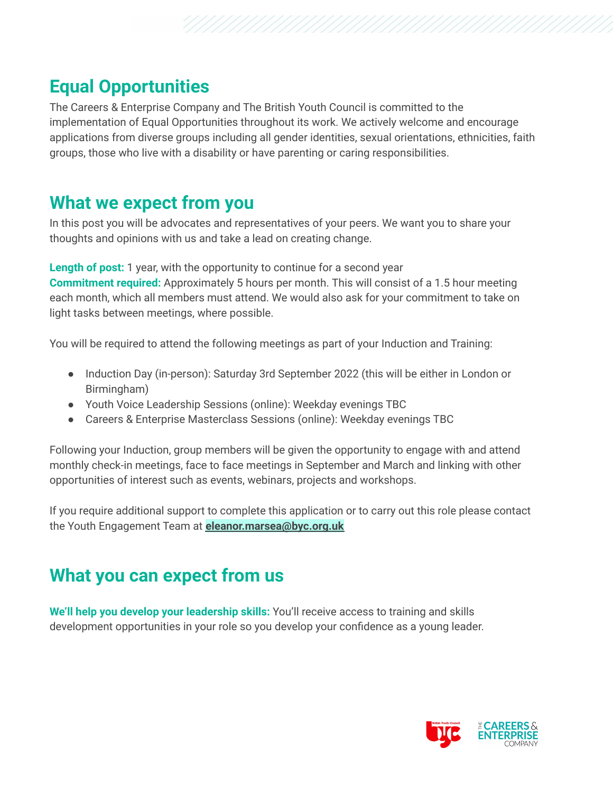## **Equal Opportunities**

The Careers & Enterprise Company and The British Youth Council is committed to the implementation of Equal Opportunities throughout its work. We actively welcome and encourage applications from diverse groups including all gender identities, sexual orientations, ethnicities, faith groups, those who live with a disability or have parenting or caring responsibilities.

### **What we expect from you**

In this post you will be advocates and representatives of your peers. We want you to share your thoughts and opinions with us and take a lead on creating change.

**Length of post:** 1 year, with the opportunity to continue for a second year **Commitment required:** Approximately 5 hours per month. This will consist of a 1.5 hour meeting each month, which all members must attend. We would also ask for your commitment to take on light tasks between meetings, where possible.

You will be required to attend the following meetings as part of your Induction and Training:

- Induction Day (in-person): Saturday 3rd September 2022 (this will be either in London or Birmingham)
- Youth Voice Leadership Sessions (online): Weekday evenings TBC
- Careers & Enterprise Masterclass Sessions (online): Weekday evenings TBC

Following your Induction, group members will be given the opportunity to engage with and attend monthly check-in meetings, face to face meetings in September and March and linking with other opportunities of interest such as events, webinars, projects and workshops.

If you require additional support to complete this application or to carry out this role please contact the Youth Engagement Team at **eleanor.marsea@byc.org.uk**

## **What you can expect from us**

**We'll help you develop your leadership skills:** You'll receive access to training and skills development opportunities in your role so you develop your confidence as a young leader.

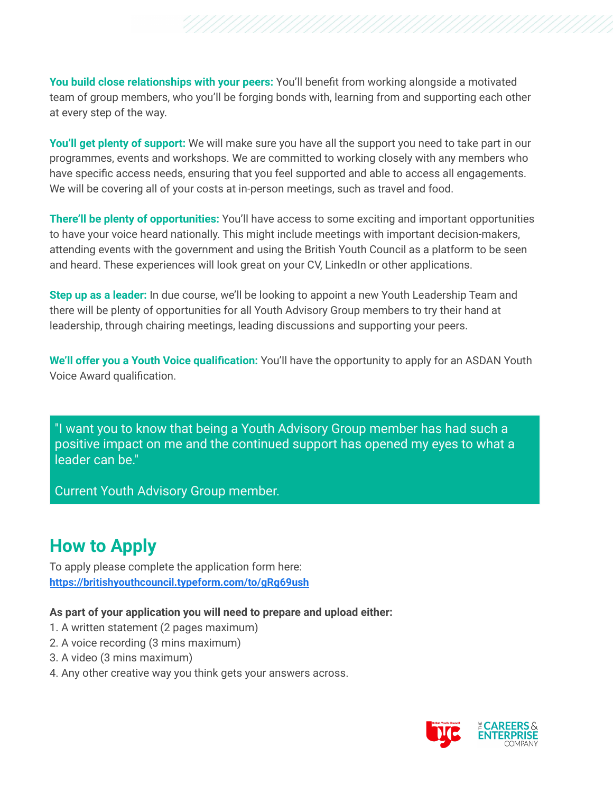**You build close relationships with your peers:** You'll benefit from working alongside a motivated team of group members, who you'll be forging bonds with, learning from and supporting each other at every step of the way.

**You'll get plenty of support:** We will make sure you have all the support you need to take part in our programmes, events and workshops. We are committed to working closely with any members who have specific access needs, ensuring that you feel supported and able to access all engagements. We will be covering all of your costs at in-person meetings, such as travel and food.

**There'll be plenty of opportunities:** You'll have access to some exciting and important opportunities to have your voice heard nationally. This might include meetings with important decision-makers, attending events with the government and using the British Youth Council as a platform to be seen and heard. These experiences will look great on your CV, LinkedIn or other applications.

**Step up as a leader:** In due course, we'll be looking to appoint a new Youth Leadership Team and there will be plenty of opportunities for all Youth Advisory Group members to try their hand at leadership, through chairing meetings, leading discussions and supporting your peers.

**We'll offer you a Youth Voice qualification:** You'll have the opportunity to apply for an ASDAN Youth Voice Award qualification.

"I want you to know that being a Youth Advisory Group member has had such a positive impact on me and the continued support has opened my eyes to what a leader can be."

Current Youth Advisory Group member.

## **How to Apply**

To apply please complete the application form here: **<https://britishyouthcouncil.typeform.com/to/gRg69ush>**

#### **As part of your application you will need to prepare and upload either:**

- 1. A written statement (2 pages maximum)
- 2. A voice recording (3 mins maximum)
- 3. A video (3 mins maximum)
- 4. Any other creative way you think gets your answers across.